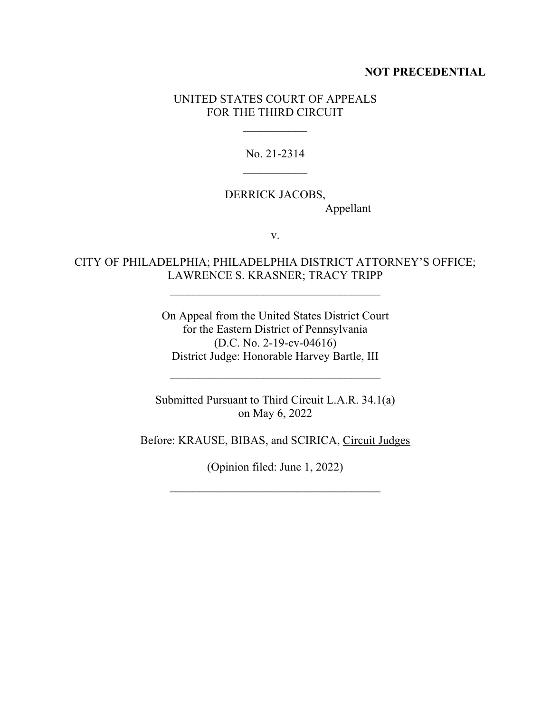#### **NOT PRECEDENTIAL**

### UNITED STATES COURT OF APPEALS FOR THE THIRD CIRCUIT

 $\frac{1}{2}$ 

No. 21-2314  $\frac{1}{2}$ 

## DERRICK JACOBS, Appellant

v.

# CITY OF PHILADELPHIA; PHILADELPHIA DISTRICT ATTORNEY'S OFFICE; LAWRENCE S. KRASNER; TRACY TRIPP

\_\_\_\_\_\_\_\_\_\_\_\_\_\_\_\_\_\_\_\_\_\_\_\_\_\_\_\_\_\_\_\_\_\_\_\_

On Appeal from the United States District Court for the Eastern District of Pennsylvania (D.C. No. 2-19-cv-04616) District Judge: Honorable Harvey Bartle, III

Submitted Pursuant to Third Circuit L.A.R. 34.1(a) on May 6, 2022

 $\mathcal{L}_\text{max}$  , where  $\mathcal{L}_\text{max}$  is the set of the set of the set of the set of the set of the set of the set of the set of the set of the set of the set of the set of the set of the set of the set of the set of the se

Before: KRAUSE, BIBAS, and SCIRICA, Circuit Judges

(Opinion filed: June 1, 2022)

\_\_\_\_\_\_\_\_\_\_\_\_\_\_\_\_\_\_\_\_\_\_\_\_\_\_\_\_\_\_\_\_\_\_\_\_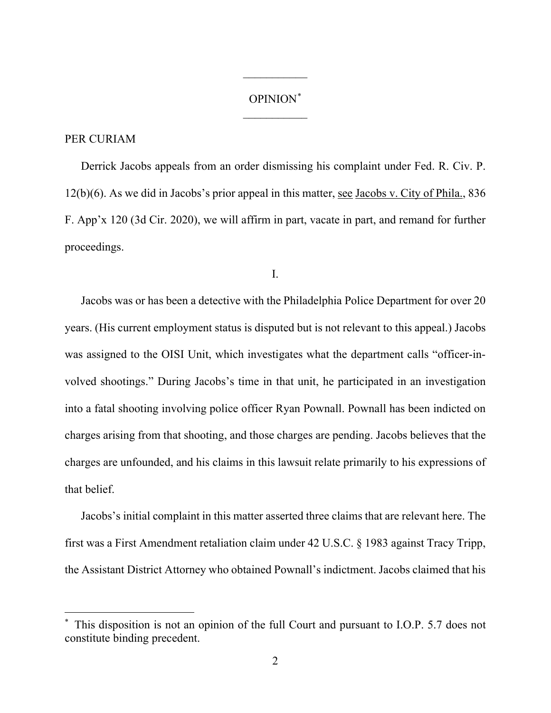## OPINION[\\*](#page-1-0)  $\frac{1}{2}$

 $\frac{1}{2}$ 

### PER CURIAM

Derrick Jacobs appeals from an order dismissing his complaint under Fed. R. Civ. P. 12(b)(6). As we did in Jacobs's prior appeal in this matter, see Jacobs v. City of Phila., 836 F. App'x 120 (3d Cir. 2020), we will affirm in part, vacate in part, and remand for further proceedings.

I.

Jacobs was or has been a detective with the Philadelphia Police Department for over 20 years. (His current employment status is disputed but is not relevant to this appeal.) Jacobs was assigned to the OISI Unit, which investigates what the department calls "officer-involved shootings." During Jacobs's time in that unit, he participated in an investigation into a fatal shooting involving police officer Ryan Pownall. Pownall has been indicted on charges arising from that shooting, and those charges are pending. Jacobs believes that the charges are unfounded, and his claims in this lawsuit relate primarily to his expressions of that belief.

Jacobs's initial complaint in this matter asserted three claims that are relevant here. The first was a First Amendment retaliation claim under 42 U.S.C. § 1983 against Tracy Tripp, the Assistant District Attorney who obtained Pownall's indictment. Jacobs claimed that his

<span id="page-1-0"></span>This disposition is not an opinion of the full Court and pursuant to I.O.P. 5.7 does not constitute binding precedent.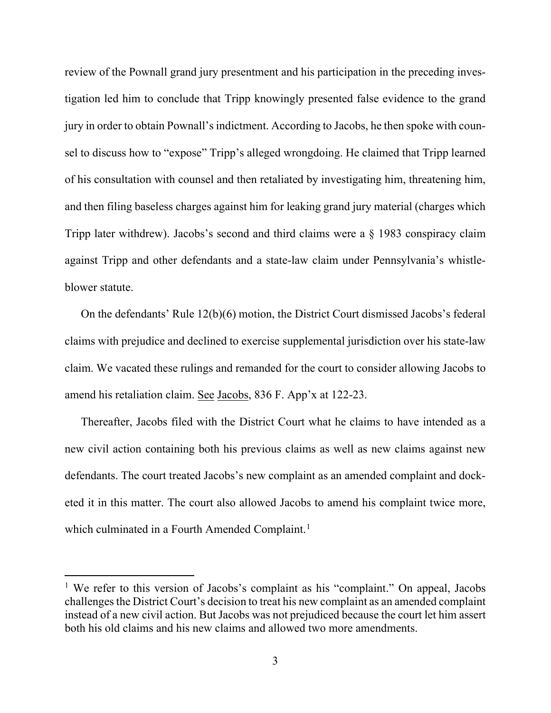review of the Pownall grand jury presentment and his participation in the preceding investigation led him to conclude that Tripp knowingly presented false evidence to the grand jury in order to obtain Pownall's indictment. According to Jacobs, he then spoke with counsel to discuss how to "expose" Tripp's alleged wrongdoing. He claimed that Tripp learned of his consultation with counsel and then retaliated by investigating him, threatening him, and then filing baseless charges against him for leaking grand jury material (charges which Tripp later withdrew). Jacobs's second and third claims were a § 1983 conspiracy claim against Tripp and other defendants and a state-law claim under Pennsylvania's whistleblower statute.

On the defendants' Rule 12(b)(6) motion, the District Court dismissed Jacobs's federal claims with prejudice and declined to exercise supplemental jurisdiction over his state-law claim. We vacated these rulings and remanded for the court to consider allowing Jacobs to amend his retaliation claim. See Jacobs, 836 F. App'x at 122-23.

Thereafter, Jacobs filed with the District Court what he claims to have intended as a new civil action containing both his previous claims as well as new claims against new defendants. The court treated Jacobs's new complaint as an amended complaint and docketed it in this matter. The court also allowed Jacobs to amend his complaint twice more, which culminated in a Fourth Amended Complaint.<sup>[1](#page-2-0)</sup>

<span id="page-2-0"></span><sup>&</sup>lt;sup>1</sup> We refer to this version of Jacobs's complaint as his "complaint." On appeal, Jacobs challenges the District Court's decision to treat his new complaint as an amended complaint instead of a new civil action. But Jacobs was not prejudiced because the court let him assert both his old claims and his new claims and allowed two more amendments.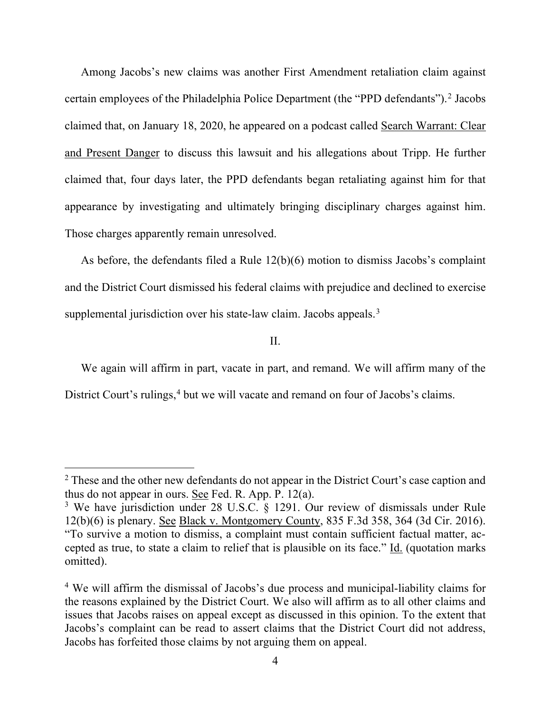Among Jacobs's new claims was another First Amendment retaliation claim against certain employees of the Philadelphia Police Department (the "PPD defendants").<sup>[2](#page-3-0)</sup> Jacobs claimed that, on January 18, 2020, he appeared on a podcast called Search Warrant: Clear and Present Danger to discuss this lawsuit and his allegations about Tripp. He further claimed that, four days later, the PPD defendants began retaliating against him for that appearance by investigating and ultimately bringing disciplinary charges against him. Those charges apparently remain unresolved.

As before, the defendants filed a Rule 12(b)(6) motion to dismiss Jacobs's complaint and the District Court dismissed his federal claims with prejudice and declined to exercise supplemental jurisdiction over his state-law claim. Jacobs appeals.<sup>[3](#page-3-1)</sup>

II.

We again will affirm in part, vacate in part, and remand. We will affirm many of the District Court's rulings,<sup>[4](#page-3-2)</sup> but we will vacate and remand on four of Jacobs's claims.

<span id="page-3-0"></span><sup>&</sup>lt;sup>2</sup> These and the other new defendants do not appear in the District Court's case caption and thus do not appear in ours. See Fed. R. App. P. 12(a).

<span id="page-3-1"></span><sup>&</sup>lt;sup>3</sup> We have jurisdiction under 28 U.S.C. § 1291. Our review of dismissals under Rule 12(b)(6) is plenary. See Black v. Montgomery County, 835 F.3d 358, 364 (3d Cir. 2016). "To survive a motion to dismiss, a complaint must contain sufficient factual matter, accepted as true, to state a claim to relief that is plausible on its face." Id. (quotation marks omitted).

<span id="page-3-2"></span><sup>4</sup> We will affirm the dismissal of Jacobs's due process and municipal-liability claims for the reasons explained by the District Court. We also will affirm as to all other claims and issues that Jacobs raises on appeal except as discussed in this opinion. To the extent that Jacobs's complaint can be read to assert claims that the District Court did not address, Jacobs has forfeited those claims by not arguing them on appeal.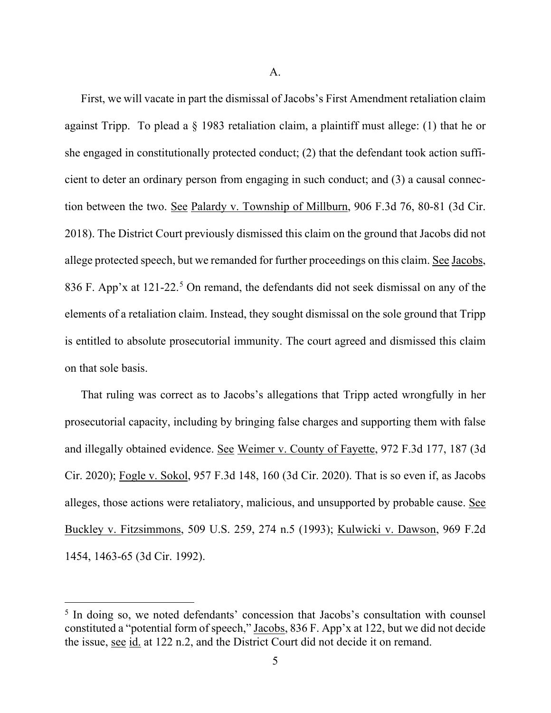A.

First, we will vacate in part the dismissal of Jacobs's First Amendment retaliation claim against Tripp. To plead a  $\S$  1983 retaliation claim, a plaintiff must allege: (1) that he or she engaged in constitutionally protected conduct; (2) that the defendant took action sufficient to deter an ordinary person from engaging in such conduct; and (3) a causal connection between the two. See Palardy v. Township of Millburn, 906 F.3d 76, 80-81 (3d Cir. 2018). The District Court previously dismissed this claim on the ground that Jacobs did not allege protected speech, but we remanded for further proceedings on this claim. See Jacobs, 836 F. App'x at 121-22.<sup>[5](#page-4-0)</sup> On remand, the defendants did not seek dismissal on any of the elements of a retaliation claim. Instead, they sought dismissal on the sole ground that Tripp is entitled to absolute prosecutorial immunity. The court agreed and dismissed this claim on that sole basis.

That ruling was correct as to Jacobs's allegations that Tripp acted wrongfully in her prosecutorial capacity, including by bringing false charges and supporting them with false and illegally obtained evidence. See Weimer v. County of Fayette, 972 F.3d 177, 187 (3d Cir. 2020); Fogle v. Sokol, 957 F.3d 148, 160 (3d Cir. 2020). That is so even if, as Jacobs alleges, those actions were retaliatory, malicious, and unsupported by probable cause. See Buckley v. Fitzsimmons, 509 U.S. 259, 274 n.5 (1993); Kulwicki v. Dawson, 969 F.2d 1454, 1463-65 (3d Cir. 1992).

<span id="page-4-0"></span><sup>&</sup>lt;sup>5</sup> In doing so, we noted defendants' concession that Jacobs's consultation with counsel constituted a "potential form of speech," Jacobs, 836 F. App'x at 122, but we did not decide the issue, see id. at 122 n.2, and the District Court did not decide it on remand.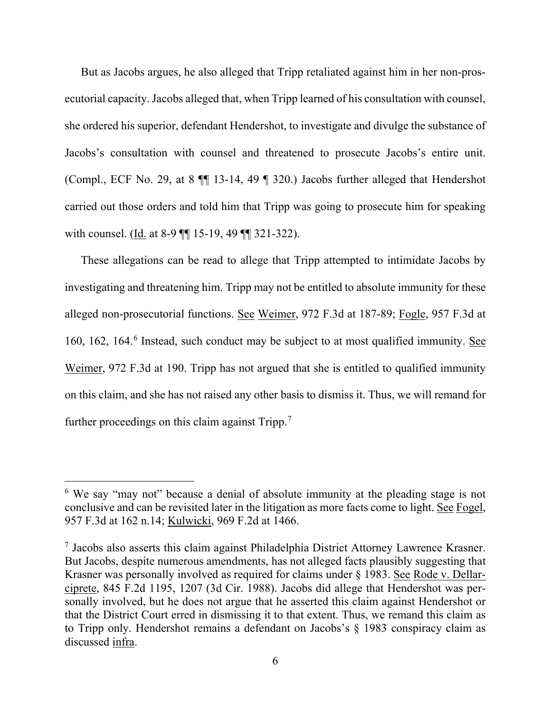But as Jacobs argues, he also alleged that Tripp retaliated against him in her non-prosecutorial capacity. Jacobs alleged that, when Tripp learned of his consultation with counsel, she ordered his superior, defendant Hendershot, to investigate and divulge the substance of Jacobs's consultation with counsel and threatened to prosecute Jacobs's entire unit. (Compl., ECF No. 29, at 8 ¶¶ 13-14, 49 ¶ 320.) Jacobs further alleged that Hendershot carried out those orders and told him that Tripp was going to prosecute him for speaking with counsel. (Id. at 8-9 ¶¶ 15-19, 49 ¶¶ 321-322).

These allegations can be read to allege that Tripp attempted to intimidate Jacobs by investigating and threatening him. Tripp may not be entitled to absolute immunity for these alleged non-prosecutorial functions. See Weimer, 972 F.3d at 187-89; Fogle, 957 F.3d at 1[6](#page-5-0)0, 162, 164.<sup>6</sup> Instead, such conduct may be subject to at most qualified immunity. See Weimer, 972 F.3d at 190. Tripp has not argued that she is entitled to qualified immunity on this claim, and she has not raised any other basis to dismiss it. Thus, we will remand for further proceedings on this claim against Tripp.<sup>[7](#page-5-1)</sup>

<span id="page-5-0"></span><sup>6</sup> We say "may not" because a denial of absolute immunity at the pleading stage is not conclusive and can be revisited later in the litigation as more facts come to light. See Fogel, 957 F.3d at 162 n.14; Kulwicki, 969 F.2d at 1466.

<span id="page-5-1"></span><sup>7</sup> Jacobs also asserts this claim against Philadelphia District Attorney Lawrence Krasner. But Jacobs, despite numerous amendments, has not alleged facts plausibly suggesting that Krasner was personally involved as required for claims under § 1983. See Rode v. Dellarciprete, 845 F.2d 1195, 1207 (3d Cir. 1988). Jacobs did allege that Hendershot was personally involved, but he does not argue that he asserted this claim against Hendershot or that the District Court erred in dismissing it to that extent. Thus, we remand this claim as to Tripp only. Hendershot remains a defendant on Jacobs's § 1983 conspiracy claim as discussed infra.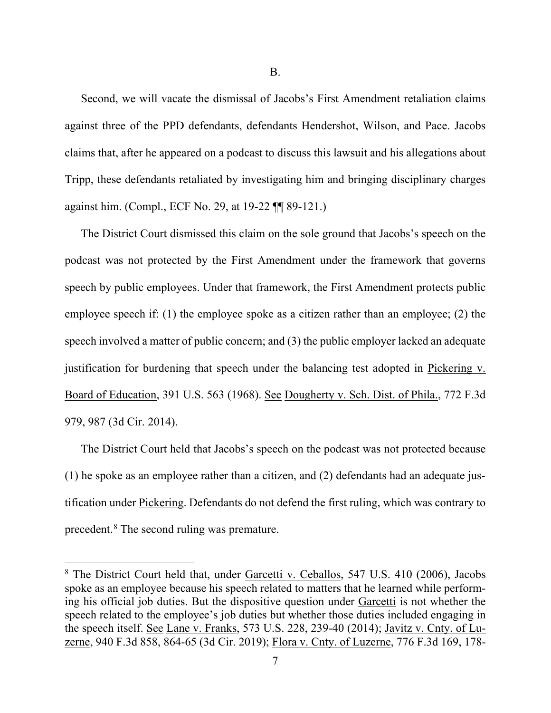B.

Second, we will vacate the dismissal of Jacobs's First Amendment retaliation claims against three of the PPD defendants, defendants Hendershot, Wilson, and Pace. Jacobs claims that, after he appeared on a podcast to discuss this lawsuit and his allegations about Tripp, these defendants retaliated by investigating him and bringing disciplinary charges against him. (Compl., ECF No. 29, at 19-22 ¶¶ 89-121.)

The District Court dismissed this claim on the sole ground that Jacobs's speech on the podcast was not protected by the First Amendment under the framework that governs speech by public employees. Under that framework, the First Amendment protects public employee speech if: (1) the employee spoke as a citizen rather than an employee; (2) the speech involved a matter of public concern; and (3) the public employer lacked an adequate justification for burdening that speech under the balancing test adopted in Pickering v. Board of Education, 391 U.S. 563 (1968). See Dougherty v. Sch. Dist. of Phila., 772 F.3d 979, 987 (3d Cir. 2014).

The District Court held that Jacobs's speech on the podcast was not protected because (1) he spoke as an employee rather than a citizen, and (2) defendants had an adequate justification under Pickering. Defendants do not defend the first ruling, which was contrary to precedent.<sup>[8](#page-6-0)</sup> The second ruling was premature.

<span id="page-6-0"></span><sup>&</sup>lt;sup>8</sup> The District Court held that, under Garcetti v. Ceballos, 547 U.S. 410 (2006), Jacobs spoke as an employee because his speech related to matters that he learned while performing his official job duties. But the dispositive question under Garcetti is not whether the speech related to the employee's job duties but whether those duties included engaging in the speech itself. See Lane v. Franks, 573 U.S. 228, 239-40 (2014); Javitz v. Cnty. of Luzerne, 940 F.3d 858, 864-65 (3d Cir. 2019); Flora v. Cnty. of Luzerne, 776 F.3d 169, 178-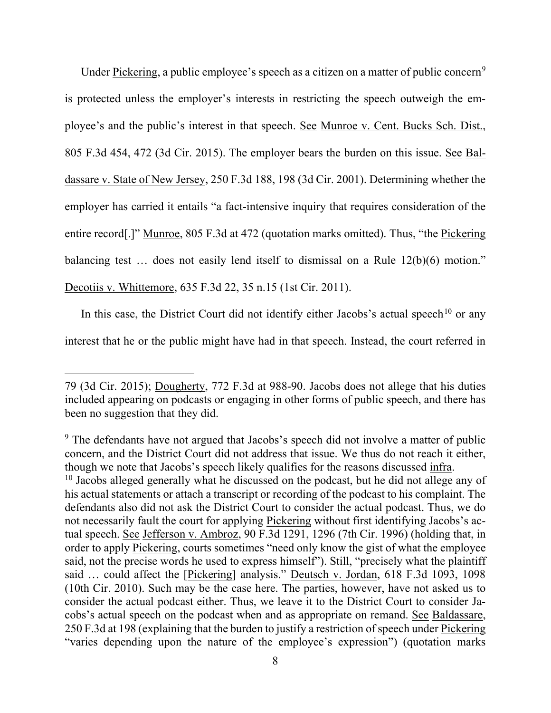Under Pickering, a public employee's speech as a citizen on a matter of public concern<sup>[9](#page-7-0)</sup> is protected unless the employer's interests in restricting the speech outweigh the employee's and the public's interest in that speech. See Munroe v. Cent. Bucks Sch. Dist., 805 F.3d 454, 472 (3d Cir. 2015). The employer bears the burden on this issue. See Baldassare v. State of New Jersey, 250 F.3d 188, 198 (3d Cir. 2001). Determining whether the employer has carried it entails "a fact-intensive inquiry that requires consideration of the entire record[.]" Munroe, 805 F.3d at 472 (quotation marks omitted). Thus, "the Pickering balancing test … does not easily lend itself to dismissal on a Rule 12(b)(6) motion." Decotiis v. Whittemore, 635 F.3d 22, 35 n.15 (1st Cir. 2011).

In this case, the District Court did not identify either Jacobs's actual speech<sup>[10](#page-7-1)</sup> or any interest that he or the public might have had in that speech. Instead, the court referred in

<sup>79 (3</sup>d Cir. 2015); Dougherty, 772 F.3d at 988-90. Jacobs does not allege that his duties included appearing on podcasts or engaging in other forms of public speech, and there has been no suggestion that they did.

<span id="page-7-1"></span><span id="page-7-0"></span><sup>&</sup>lt;sup>9</sup> The defendants have not argued that Jacobs's speech did not involve a matter of public concern, and the District Court did not address that issue. We thus do not reach it either, though we note that Jacobs's speech likely qualifies for the reasons discussed infra. <sup>10</sup> Jacobs alleged generally what he discussed on the podcast, but he did not allege any of his actual statements or attach a transcript or recording of the podcast to his complaint. The defendants also did not ask the District Court to consider the actual podcast. Thus, we do not necessarily fault the court for applying Pickering without first identifying Jacobs's actual speech. See Jefferson v. Ambroz, 90 F.3d 1291, 1296 (7th Cir. 1996) (holding that, in order to apply Pickering, courts sometimes "need only know the gist of what the employee said, not the precise words he used to express himself"). Still, "precisely what the plaintiff said ... could affect the [Pickering] analysis." Deutsch v. Jordan, 618 F.3d 1093, 1098 (10th Cir. 2010). Such may be the case here. The parties, however, have not asked us to consider the actual podcast either. Thus, we leave it to the District Court to consider Jacobs's actual speech on the podcast when and as appropriate on remand. See Baldassare, 250 F.3d at 198 (explaining that the burden to justify a restriction of speech under Pickering "varies depending upon the nature of the employee's expression") (quotation marks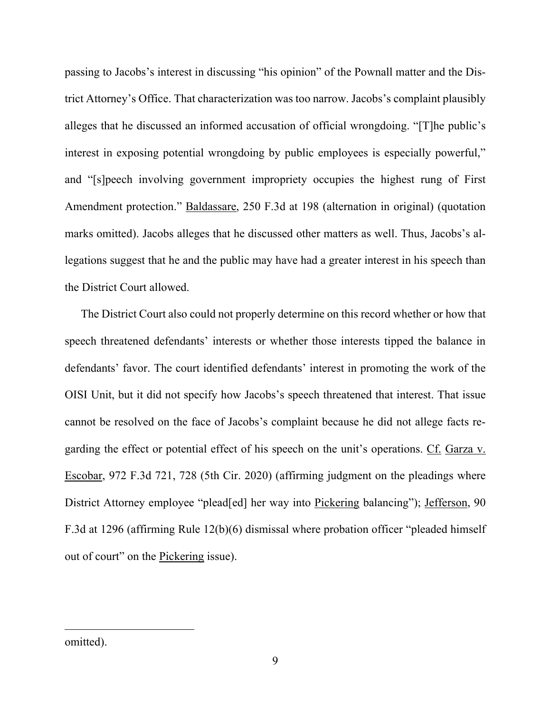passing to Jacobs's interest in discussing "his opinion" of the Pownall matter and the District Attorney's Office. That characterization was too narrow. Jacobs's complaint plausibly alleges that he discussed an informed accusation of official wrongdoing. "[T]he public's interest in exposing potential wrongdoing by public employees is especially powerful," and "[s]peech involving government impropriety occupies the highest rung of First Amendment protection." Baldassare, 250 F.3d at 198 (alternation in original) (quotation marks omitted). Jacobs alleges that he discussed other matters as well. Thus, Jacobs's allegations suggest that he and the public may have had a greater interest in his speech than the District Court allowed.

The District Court also could not properly determine on this record whether or how that speech threatened defendants' interests or whether those interests tipped the balance in defendants' favor. The court identified defendants' interest in promoting the work of the OISI Unit, but it did not specify how Jacobs's speech threatened that interest. That issue cannot be resolved on the face of Jacobs's complaint because he did not allege facts regarding the effect or potential effect of his speech on the unit's operations. Cf. Garza v. Escobar, 972 F.3d 721, 728 (5th Cir. 2020) (affirming judgment on the pleadings where District Attorney employee "plead[ed] her way into Pickering balancing"); Jefferson, 90 F.3d at 1296 (affirming Rule 12(b)(6) dismissal where probation officer "pleaded himself out of court" on the Pickering issue).

omitted).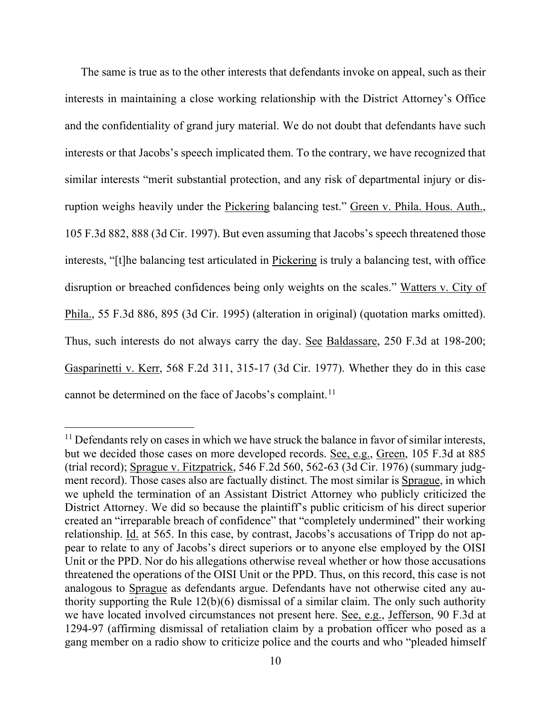The same is true as to the other interests that defendants invoke on appeal, such as their interests in maintaining a close working relationship with the District Attorney's Office and the confidentiality of grand jury material. We do not doubt that defendants have such interests or that Jacobs's speech implicated them. To the contrary, we have recognized that similar interests "merit substantial protection, and any risk of departmental injury or disruption weighs heavily under the Pickering balancing test." Green v. Phila. Hous. Auth., 105 F.3d 882, 888 (3d Cir. 1997). But even assuming that Jacobs's speech threatened those interests, "[t]he balancing test articulated in Pickering is truly a balancing test, with office disruption or breached confidences being only weights on the scales." Watters v. City of Phila., 55 F.3d 886, 895 (3d Cir. 1995) (alteration in original) (quotation marks omitted). Thus, such interests do not always carry the day. See Baldassare, 250 F.3d at 198-200; Gasparinetti v. Kerr, 568 F.2d 311, 315-17 (3d Cir. 1977). Whether they do in this case cannot be determined on the face of Jacobs's complaint.<sup>[11](#page-9-0)</sup>

<span id="page-9-0"></span> $11$  Defendants rely on cases in which we have struck the balance in favor of similar interests, but we decided those cases on more developed records. See, e.g., Green, 105 F.3d at 885 (trial record); Sprague v. Fitzpatrick, 546 F.2d 560, 562-63 (3d Cir. 1976) (summary judgment record). Those cases also are factually distinct. The most similar is Sprague, in which we upheld the termination of an Assistant District Attorney who publicly criticized the District Attorney. We did so because the plaintiff's public criticism of his direct superior created an "irreparable breach of confidence" that "completely undermined" their working relationship. Id. at 565. In this case, by contrast, Jacobs's accusations of Tripp do not appear to relate to any of Jacobs's direct superiors or to anyone else employed by the OISI Unit or the PPD. Nor do his allegations otherwise reveal whether or how those accusations threatened the operations of the OISI Unit or the PPD. Thus, on this record, this case is not analogous to Sprague as defendants argue. Defendants have not otherwise cited any authority supporting the Rule 12(b)(6) dismissal of a similar claim. The only such authority we have located involved circumstances not present here. See, e.g., Jefferson, 90 F.3d at 1294-97 (affirming dismissal of retaliation claim by a probation officer who posed as a gang member on a radio show to criticize police and the courts and who "pleaded himself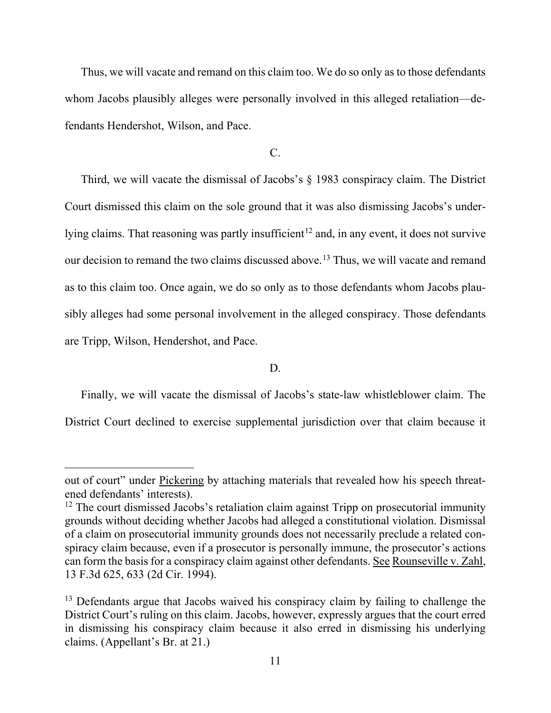Thus, we will vacate and remand on this claim too. We do so only as to those defendants whom Jacobs plausibly alleges were personally involved in this alleged retaliation—defendants Hendershot, Wilson, and Pace.

C.

Third, we will vacate the dismissal of Jacobs's § 1983 conspiracy claim. The District Court dismissed this claim on the sole ground that it was also dismissing Jacobs's under-lying claims. That reasoning was partly insufficient<sup>[12](#page-10-0)</sup> and, in any event, it does not survive our decision to remand the two claims discussed above.<sup>[13](#page-10-1)</sup> Thus, we will vacate and remand as to this claim too. Once again, we do so only as to those defendants whom Jacobs plausibly alleges had some personal involvement in the alleged conspiracy. Those defendants are Tripp, Wilson, Hendershot, and Pace.

D.

Finally, we will vacate the dismissal of Jacobs's state-law whistleblower claim. The District Court declined to exercise supplemental jurisdiction over that claim because it

out of court" under Pickering by attaching materials that revealed how his speech threatened defendants' interests).

<span id="page-10-0"></span> $12$  The court dismissed Jacobs's retaliation claim against Tripp on prosecutorial immunity grounds without deciding whether Jacobs had alleged a constitutional violation. Dismissal of a claim on prosecutorial immunity grounds does not necessarily preclude a related conspiracy claim because, even if a prosecutor is personally immune, the prosecutor's actions can form the basis for a conspiracy claim against other defendants. See Rounseville v. Zahl, 13 F.3d 625, 633 (2d Cir. 1994).

<span id="page-10-1"></span><sup>&</sup>lt;sup>13</sup> Defendants argue that Jacobs waived his conspiracy claim by failing to challenge the District Court's ruling on this claim. Jacobs, however, expressly argues that the court erred in dismissing his conspiracy claim because it also erred in dismissing his underlying claims. (Appellant's Br. at 21.)